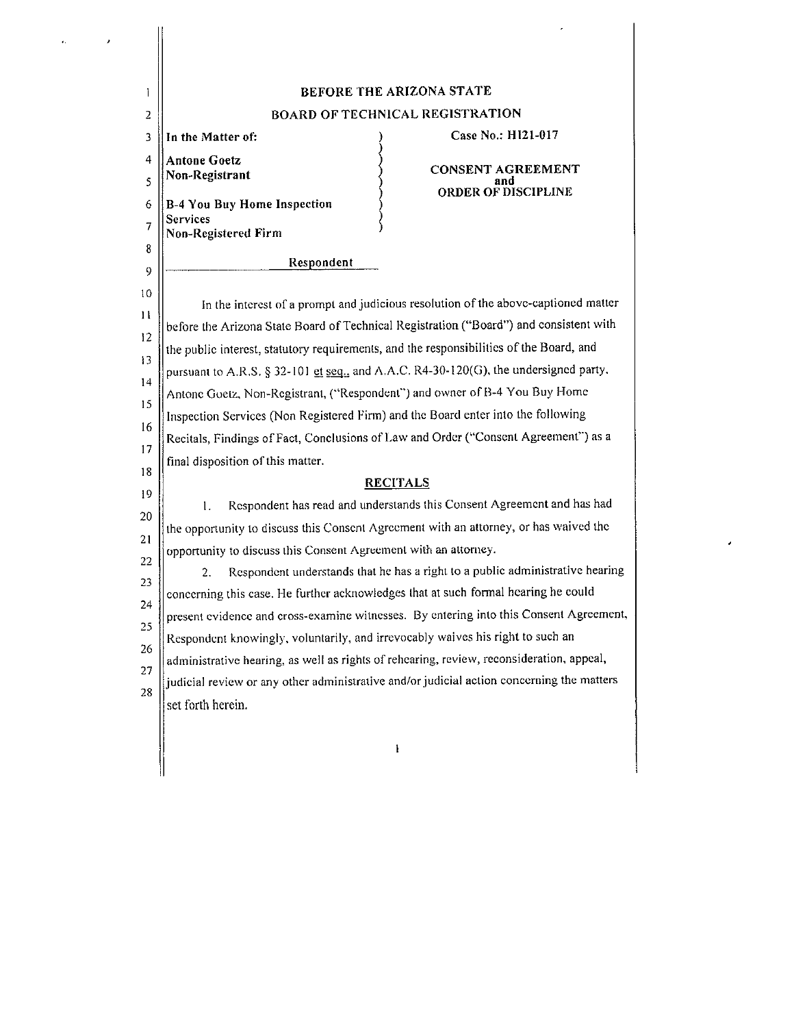| L            | <b>BEFORE THE ARIZONA STATE</b>                                                           |                          |  |
|--------------|-------------------------------------------------------------------------------------------|--------------------------|--|
| 2            | <b>BOARD OF TECHNICAL REGISTRATION</b>                                                    |                          |  |
| 3            | In the Matter of:                                                                         | Case No.: H121-017       |  |
| 4            | <b>Antone Goetz</b><br>Non-Registrant                                                     | <b>CONSENT AGREEMENT</b> |  |
| 5            |                                                                                           | ORDER OF DISCIPLINE      |  |
| 6            | B-4 You Buy Home Inspection<br><b>Services</b>                                            |                          |  |
| 7            | <b>Non-Registered Firm</b>                                                                |                          |  |
| 8            | Respondent                                                                                |                          |  |
| 9            |                                                                                           |                          |  |
| 10           | In the interest of a prompt and judicious resolution of the above-captioned matter        |                          |  |
| $\mathbf{1}$ | before the Arizona State Board of Technical Registration ("Board") and consistent with    |                          |  |
| 12           | the public interest, statutory requirements, and the responsibilities of the Board, and   |                          |  |
| 13           | pursuant to A.R.S. § 32-101 et seq., and A.A.C. R4-30-120(G), the undersigned party.      |                          |  |
| 14           | Antone Goetz, Non-Registrant, ("Respondent") and owner of B-4 You Buy Home                |                          |  |
| 15           | Inspection Services (Non Registered Firm) and the Board enter into the following          |                          |  |
| 16           | Recitals, Findings of Fact, Conclusions of Law and Order ("Consent Agreement") as a       |                          |  |
| 17           | final disposition of this matter.                                                         |                          |  |
| 18           | <b>RECITALS</b>                                                                           |                          |  |
| 19           | Respondent has read and understands this Consent Agreement and has had<br>1.              |                          |  |
| 20           | the opportunity to discuss this Consent Agreement with an attorney, or has waived the     |                          |  |
| 21           | opportunity to discuss this Consent Agreement with an attorney.                           |                          |  |
| 22<br>23     | Respondent understands that he has a right to a public administrative hearing<br>2.       |                          |  |
|              | concerning this case. He further acknowledges that at such formal hearing he could        |                          |  |
| 24<br>25     | present evidence and cross-examine witnesses. By entering into this Consent Agreement,    |                          |  |
| 26           | Respondent knowingly, voluntarily, and irrevocably waives his right to such an            |                          |  |
| 27           | administrative hearing, as well as rights of rehearing, review, reconsideration, appeal,  |                          |  |
| 28           | judicial review or any other administrative and/or judicial action concerning the matters |                          |  |
|              | set forth herein.                                                                         |                          |  |
|              |                                                                                           |                          |  |
|              |                                                                                           | ł                        |  |
|              |                                                                                           |                          |  |

 $\frac{1}{\sqrt{2}}$ 

ł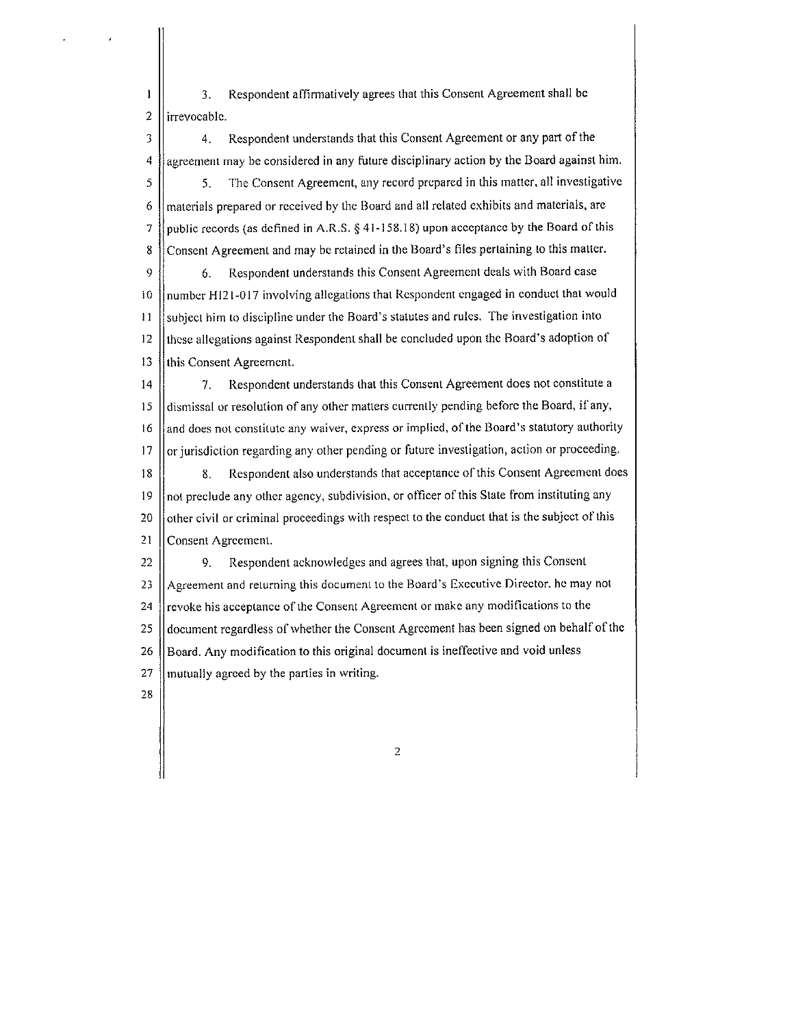$\mathbf{1}$ **3. Respondent affinnatively agrees that this Consent Agreement shall be**   $2$  lirrevocable.

3 || 4. Respondent understands that this Consent Agreement or any part of the **4 agreement may be considered in any future disciplinary action by the Board against him.**  5 5. The Consent Agreement, any record prepared in this matter, all investigative  $6$  || materials prepared or received by the Board and all related exhibits and materials, are 7 | public records (as defined in A.R.S.  $\S$  41-158.18) upon acceptance by the Board of this 8 Consent Agreement and may be retained in the Board's files pertaining to this matter.

9 6. Respondent understands this Consent Agreement deals with Board case 10 ||number HI21-017 involving allegations that Respondent engaged in conduct that would **11 subject him to discipline under the Board's statutes and rules. The investigation into**  12  $\parallel$  these allegations against Respondent shall be concluded upon the Board's adoption of 13 || this Consent Agreement.

14 | 7. Respondent understands that this Consent Agreement does not constitute a **15 dismissal or resolution of any other matters currently pending before the Board, if any, <sup>16</sup>and does not constitute any waiver, express or implied, of the Board's statutory authority**   $17$  ||or jurisdiction regarding any other pending or future investigation, action or proceeding. 18 || 8. Respondent also understands that acceptance of this Consent Agreement does 19  $\parallel$  not preclude any other agency, subdivision, or officer of this State from instituting any 20 || other civil or criminal proceedings with respect to the conduct that is the subject of this **21 Consent Agreement.** 

22 9. Respondent acknowledges and agrees that, upon signing this Consent 23 Agreement and returning this document to the Board's Executive Director, he may not 24 | revoke his acceptance of the Consent Agreement or make any modifications to the 25 document regardless of whether the Consent Agreement has been signed on behalf of the **26 Board. Any modification to this original document is ineffective and void unless 27 mutually agreed by the parties in writing.** 

28

2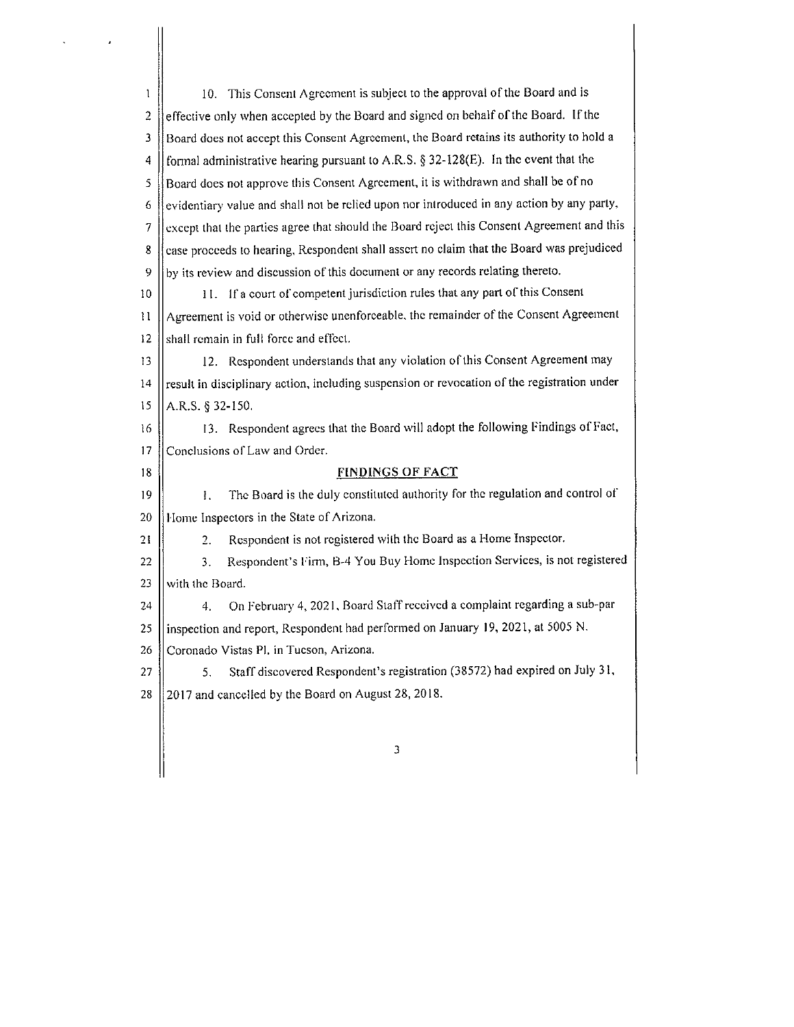| ı   | 10. This Consent Agreement is subject to the approval of the Board and is                   |  |  |  |
|-----|---------------------------------------------------------------------------------------------|--|--|--|
| 2   | effective only when accepted by the Board and signed on behalf of the Board. If the         |  |  |  |
| 3   | Board does not accept this Consent Agreement, the Board retains its authority to hold a     |  |  |  |
| 4   | formal administrative hearing pursuant to A.R.S. $\S 32-128(E)$ . In the event that the     |  |  |  |
| 5   | Board does not approve this Consent Agreement, it is withdrawn and shall be of no           |  |  |  |
| 6   | evidentiary value and shall not be relied upon nor introduced in any action by any party,   |  |  |  |
| 7   | except that the parties agree that should the Board reject this Consent Agreement and this  |  |  |  |
| 8   | case proceeds to hearing, Respondent shall assert no claim that the Board was prejudiced    |  |  |  |
| 9   | by its review and discussion of this document or any records relating thereto.              |  |  |  |
| 10  | 11. If a court of competent jurisdiction rules that any part of this Consent                |  |  |  |
| 11  | Agreement is void or otherwise unenforceable, the remainder of the Consent Agreement        |  |  |  |
| 12  | shall remain in full force and effect.                                                      |  |  |  |
| 13  | 12. Respondent understands that any violation of this Consent Agreement may                 |  |  |  |
| 14  | result in disciplinary action, including suspension or revocation of the registration under |  |  |  |
| 15  | A.R.S. § 32-150.                                                                            |  |  |  |
| -16 | 13. Respondent agrees that the Board will adopt the following Findings of Fact,             |  |  |  |
| 17  | Conclusions of Law and Order.                                                               |  |  |  |
| 18  | <b>FINDINGS OF FACT</b>                                                                     |  |  |  |
| 19  | The Board is the duly constituted authority for the regulation and control of<br>1.         |  |  |  |
| 20  | Home Inspectors in the State of Arizona.                                                    |  |  |  |
| 21  | Respondent is not registered with the Board as a Home Inspector.<br>2.                      |  |  |  |
| 22  | Respondent's Firm, B-4 You Buy Home Inspection Services, is not registered<br>3.            |  |  |  |
| 23  | with the Board.                                                                             |  |  |  |
| 24  | On February 4, 2021, Board Staff received a complaint regarding a sub-par<br>4.             |  |  |  |
| 25  | inspection and report, Respondent had performed on January 19, 2021, at 5005 N.             |  |  |  |
| 26  | Coronado Vistas Pl. in Tucson, Arizona.                                                     |  |  |  |
| 27  | Staff discovered Respondent's registration (38572) had expired on July 31,<br>5.            |  |  |  |
| 28  | 2017 and cancelled by the Board on August 28, 2018.                                         |  |  |  |
|     |                                                                                             |  |  |  |
|     | 3                                                                                           |  |  |  |
|     |                                                                                             |  |  |  |

 $\label{eq:2} \frac{1}{2} \int_{\mathbb{R}^3} \frac{d\mathbf{r}}{d\mathbf{r}} \, d\mathbf{r} \, d\mathbf{r}$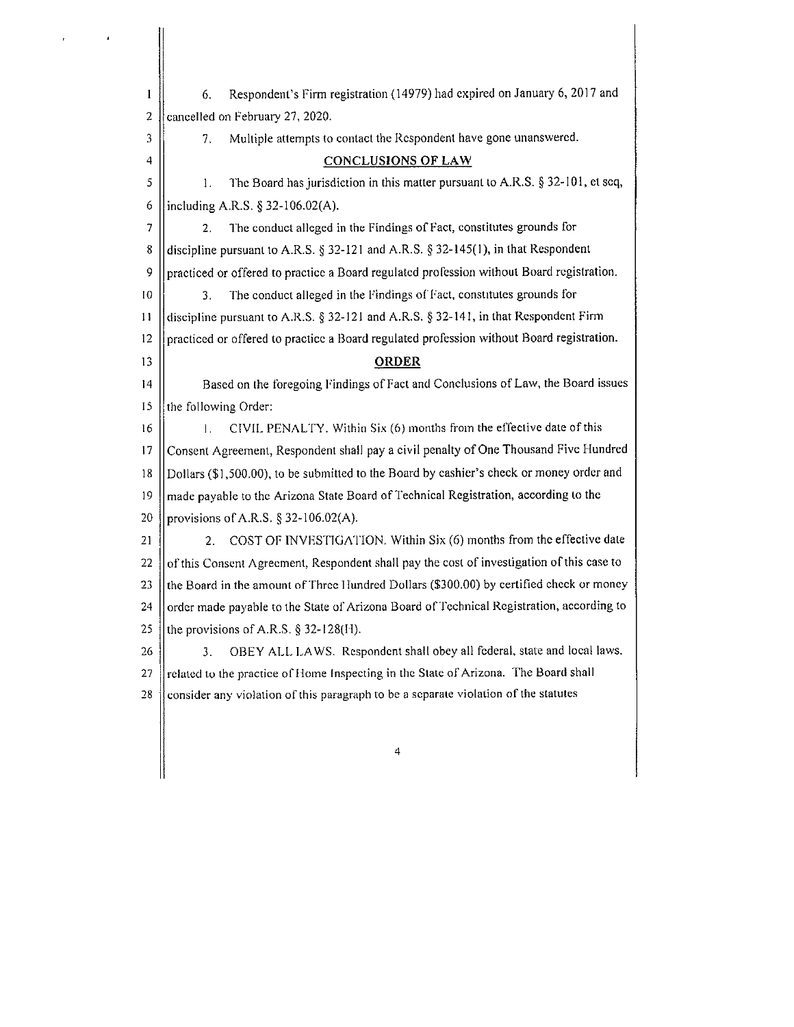$\mathbf{1}$ 6. Respondent's Firm registration (14979) had expired on January 6, 2017 and 2  $\parallel$  cancelled on February 27, 2020. 3 || 7. Multiple attempts to contact the Respondent have gone unanswered. 4 **CONCLUSIONS OF LAW**   $5 \parallel$  1. The Board has jurisdiction in this matter pursuant to A.R.S. § 32-101, et seq. 6 | including A.R.S.  $\S$  32-106.02(A).  $7 \parallel$  2. The conduct alleged in the Findings of Fact, constitutes grounds for 8 discipline pursuant to A.R.S. § 32-121 and A.R.S. § 32-145(1), in that Respondent 9 | practiced or offered to practice a Board regulated profession without Board registration. 10 || 3. The conduct alleged in the Findings of Fact, constitutes grounds for 11  $\parallel$  discipline pursuant to A.R.S. § 32-121 and A.R.S. § 32-141, in that Respondent Firm 12 practiced or offered to practice a Board regulated profession without Board registration. 13 **ORDER**  14 Based on the foregoing Findings of Fact and Conclusions of Law, the Board issues 15  $\parallel$  the following Order: 16 | | | | | | | CIVIL PENALTY. Within Six (6) months from the effective date of this 17 || Consent Agreement, Respondent shall pay a civil penalty of One Thousand Five Hundred 18 Dollars (\$1,500.00), to be submitted to the Board by cashier's cheek or money order and 19  $\parallel$  made payable to the Arizona State Board of Technical Registration, according to the 20 || provisions of A.R.S. § 32-106.02(A). 21 | 2. COST OF INVESTIGATION. Within Six (6) months from the effective date 22  $\parallel$  of this Consent Agreement, Respondent shall pay the cost of investigation of this case to 23  $\parallel$  the Board in the amount of Three Hundred Dollars (\$300.00) by certified check or money 24 | order made payable to the State of Arizona Board of Technical Registration, according to 25  $\parallel$  the provisions of A.R.S. § 32-128(H). 26  $\parallel$  3. OBEY ALL LAWS. Respondent shall obey all federal, state and local laws. 27  $\parallel$  related to the practice of Home Inspecting in the State of Arizona. The Board shall 28 consider any violation of this paragraph to be a separate violation of the statutes 4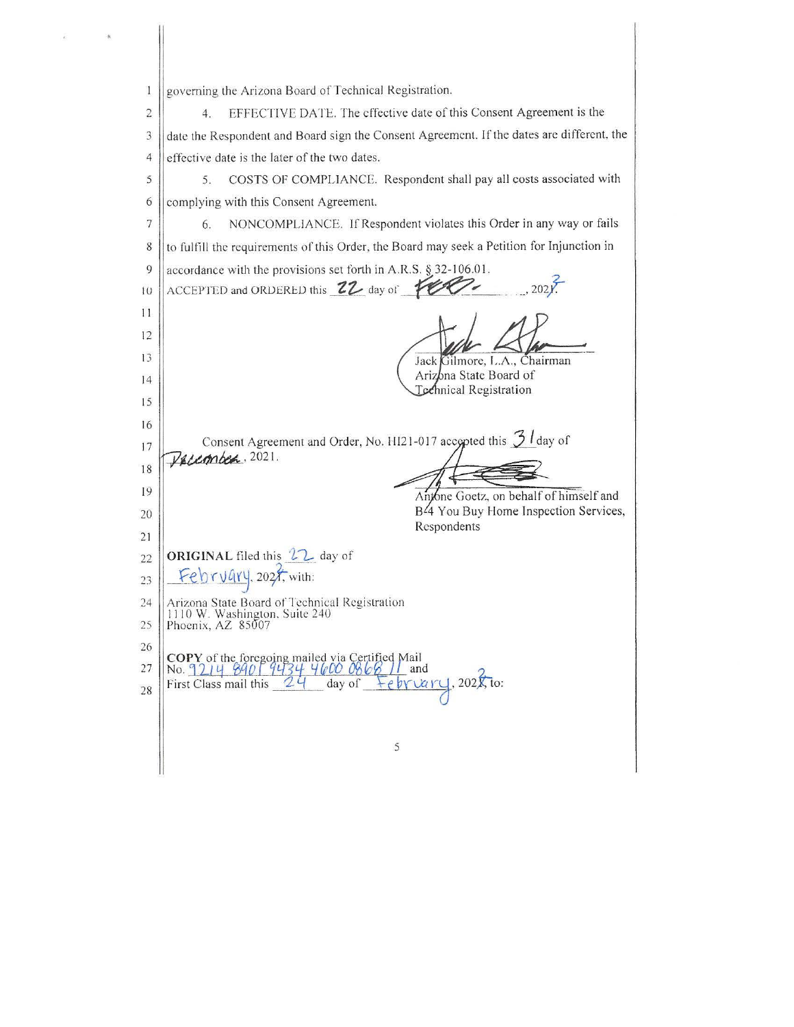governing the Arizona Board of Technical Registration.  $\mathbf{1}$  $\overline{2}$ EFFECTIVE DATE. The effective date of this Consent Agreement is the  $4.$ date the Respondent and Board sign the Consent Agreement. If the dates are different, the  $\mathfrak{Z}$ effective date is the later of the two dates.  $\overline{4}$ 5 5. COSTS OF COMPLIANCE. Respondent shall pay all costs associated with  $\boldsymbol{6}$ complying with this Consent Agreement. NONCOMPLIANCE. If Respondent violates this Order in any way or fails  $\overline{7}$ 6. 8 to fulfill the requirements of this Order, the Board may seek a Petition for Injunction in 9 accordance with the provisions set forth in A.R.S. § 32-106.01. ACCEPTED and ORDERED this 22 day of 100  $202V$  $10$  $11$ 12  $13$ Jack Gilmore, L.A., Chairman Arizona State Board of  $14$ Technical Registration 15 16 Consent Agreement and Order, No. HI21-017 accepted this  $\frac{3}{3}$  day of  $17$ Pacembea, 2021. 18 19 Antone Goetz, on behalf of himself and B<sup>24</sup> You Buy Home Inspection Services, 20 Respondents 21 ORIGINAL filed this 22 day of  $22$  $Febryary$ , 2027, with:  $23$ Arizona State Board of Technical Registration<br>1110 W. Washington, Suite 240 24 25 Phoenix, AZ 85007 26 COPY of the foregoing mailed via Certified Mail<br>No. <u>9214</u> 8401 9434 4600 0868 11 and 27  $1,202\sqrt{10}$ 24 day of tebriary First Class mail this 28  $\mathcal{S}$